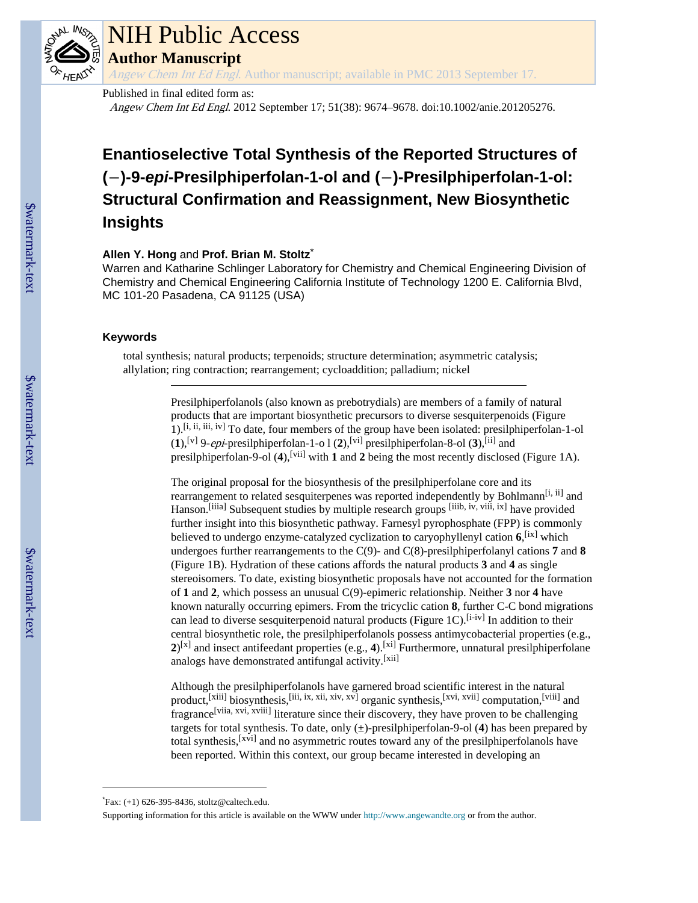

# NIH Public Access

**Author Manuscript**

Angew Chem Int Ed Engl. Author manuscript; available in PMC 2013 September 17.

Published in final edited form as:

Angew Chem Int Ed Engl. 2012 September 17; 51(38): 9674–9678. doi:10.1002/anie.201205276.

# **Enantioselective Total Synthesis of the Reported Structures of (**−**)-9-***epi***-Presilphiperfolan-1-ol and (**−**)-Presilphiperfolan-1-ol: Structural Confirmation and Reassignment, New Biosynthetic Insights**

# **Allen Y. Hong** and **Prof. Brian M. Stoltz**\*

Warren and Katharine Schlinger Laboratory for Chemistry and Chemical Engineering Division of Chemistry and Chemical Engineering California Institute of Technology 1200 E. California Blvd, MC 101-20 Pasadena, CA 91125 (USA)

# **Keywords**

total synthesis; natural products; terpenoids; structure determination; asymmetric catalysis; allylation; ring contraction; rearrangement; cycloaddition; palladium; nickel

> Presilphiperfolanols (also known as prebotrydials) are members of a family of natural products that are important biosynthetic precursors to diverse sesquiterpenoids (Figure 1).[i, ii, iii, iv] To date, four members of the group have been isolated: presilphiperfolan-1-ol  $(1)$ , <sup>[v]</sup> 9-*epi*-presilphiperfolan-1-o l  $(2)$ , <sup>[vi]</sup> presilphiperfolan-8-ol  $(3)$ , <sup>[ii]</sup> and presilphiperfolan-9-ol (4),<sup>[vii]</sup> with **1** and **2** being the most recently disclosed (Figure 1A).

The original proposal for the biosynthesis of the presilphiperfolane core and its rearrangement to related sesquiterpenes was reported independently by Bohlmann<sup>[i, ii]</sup> and Hanson.<sup>[iiia]</sup> Subsequent studies by multiple research groups <sup>[iiib, iv, viii, ix]</sup> have provided further insight into this biosynthetic pathway. Farnesyl pyrophosphate (FPP) is commonly believed to undergo enzyme-catalyzed cyclization to caryophyllenyl cation **6**, [ix] which undergoes further rearrangements to the C(9)- and C(8)-presilphiperfolanyl cations **7** and **8** (Figure 1B). Hydration of these cations affords the natural products **3** and **4** as single stereoisomers. To date, existing biosynthetic proposals have not accounted for the formation of **1** and **2**, which possess an unusual C(9)-epimeric relationship. Neither **3** nor **4** have known naturally occurring epimers. From the tricyclic cation **8**, further C-C bond migrations can lead to diverse sesquiterpenoid natural products (Figure 1C).<sup>[i-iv]</sup> In addition to their central biosynthetic role, the presilphiperfolanols possess antimycobacterial properties (e.g.,  $2^{x}$  and insect antifeedant properties (e.g., 4).<sup>[xi]</sup> Furthermore, unnatural presilphiperfolane analogs have demonstrated antifungal activity.[xii]

Although the presilphiperfolanols have garnered broad scientific interest in the natural product,<sup>[xiii]</sup> biosynthesis,<sup>[iii, ix, xii, xiv, xv]</sup> organic synthesis,<sup>[xvi, xvii]</sup> computation,<sup>[viii]</sup> and fragrance[viia, xvi, xviii] literature since their discovery, they have proven to be challenging targets for total synthesis. To date, only (±)-presilphiperfolan-9-ol (**4**) has been prepared by total synthesis,[xvi] and no asymmetric routes toward any of the presilphiperfolanols have been reported. Within this context, our group became interested in developing an

<sup>\*</sup>Fax: (+1) 626-395-8436, stoltz@caltech.edu.

Supporting information for this article is available on the WWW under<http://www.angewandte.org> or from the author.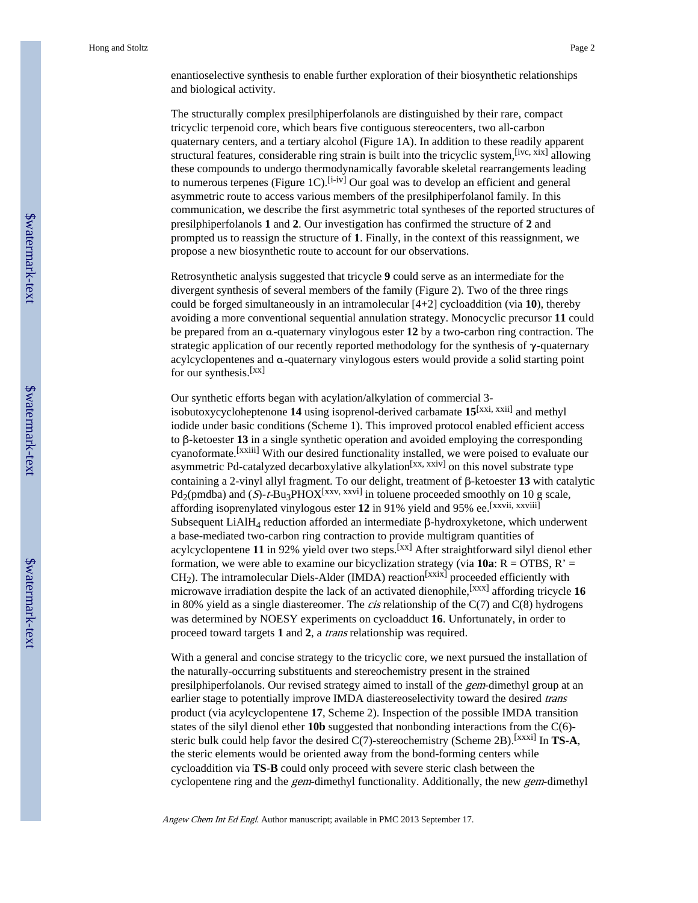enantioselective synthesis to enable further exploration of their biosynthetic relationships and biological activity.

The structurally complex presilphiperfolanols are distinguished by their rare, compact tricyclic terpenoid core, which bears five contiguous stereocenters, two all-carbon quaternary centers, and a tertiary alcohol (Figure 1A). In addition to these readily apparent structural features, considerable ring strain is built into the tricyclic system,[ivc, xix] allowing these compounds to undergo thermodynamically favorable skeletal rearrangements leading to numerous terpenes (Figure 1C).<sup>[i-iv]</sup> Our goal was to develop an efficient and general asymmetric route to access various members of the presilphiperfolanol family. In this communication, we describe the first asymmetric total syntheses of the reported structures of presilphiperfolanols **1** and **2**. Our investigation has confirmed the structure of **2** and prompted us to reassign the structure of **1**. Finally, in the context of this reassignment, we propose a new biosynthetic route to account for our observations.

Retrosynthetic analysis suggested that tricycle **9** could serve as an intermediate for the divergent synthesis of several members of the family (Figure 2). Two of the three rings could be forged simultaneously in an intramolecular [4+2] cycloaddition (via **10**), thereby avoiding a more conventional sequential annulation strategy. Monocyclic precursor **11** could be prepared from an α-quaternary vinylogous ester **12** by a two-carbon ring contraction. The strategic application of our recently reported methodology for the synthesis of  $\gamma$ -quaternary acylcyclopentenes and α-quaternary vinylogous esters would provide a solid starting point for our synthesis.<sup>[xx]</sup>

Our synthetic efforts began with acylation/alkylation of commercial 3 isobutoxycycloheptenone **14** using isoprenol-derived carbamate **15**[xxi, xxii] and methyl iodide under basic conditions (Scheme 1). This improved protocol enabled efficient access to β-ketoester **13** in a single synthetic operation and avoided employing the corresponding cyanoformate.[xxiii] With our desired functionality installed, we were poised to evaluate our asymmetric Pd-catalyzed decarboxylative alkylation<sup>[xx, xxiv]</sup> on this novel substrate type containing a 2-vinyl allyl fragment. To our delight, treatment of β-ketoester **13** with catalytic  $Pd_2$ (pmdba) and (S)-t-Bu<sub>3</sub>PHOX<sup>[xxv, xxvi]</sup> in toluene proceeded smoothly on 10 g scale, affording isoprenylated vinylogous ester **12** in 91% yield and 95% ee.[xxvii, xxviii] Subsequent LiAlH4 reduction afforded an intermediate β-hydroxyketone, which underwent a base-mediated two-carbon ring contraction to provide multigram quantities of acylcyclopentene **11** in 92% yield over two steps.[xx] After straightforward silyl dienol ether formation, we were able to examine our bicyclization strategy (via  $10a$ : R = OTBS, R' =  $CH<sub>2</sub>$ ). The intramolecular Diels-Alder (IMDA) reaction<sup>[xxix]</sup> proceeded efficiently with microwave irradiation despite the lack of an activated dienophile,[xxx] affording tricycle **16** in 80% yield as a single diastereomer. The *cis* relationship of the  $C(7)$  and  $C(8)$  hydrogens was determined by NOESY experiments on cycloadduct **16**. Unfortunately, in order to proceed toward targets **1** and **2**, a trans relationship was required.

With a general and concise strategy to the tricyclic core, we next pursued the installation of the naturally-occurring substituents and stereochemistry present in the strained presilphiperfolanols. Our revised strategy aimed to install of the gem-dimethyl group at an earlier stage to potentially improve IMDA diastereoselectivity toward the desired trans product (via acylcyclopentene **17**, Scheme 2). Inspection of the possible IMDA transition states of the silyl dienol ether **10b** suggested that nonbonding interactions from the C(6) steric bulk could help favor the desired  $C(7)$ -stereochemistry (Scheme 2B).<sup>[xxxi]</sup> In **TS-A**, the steric elements would be oriented away from the bond-forming centers while cycloaddition via **TS-B** could only proceed with severe steric clash between the cyclopentene ring and the gem-dimethyl functionality. Additionally, the new gem-dimethyl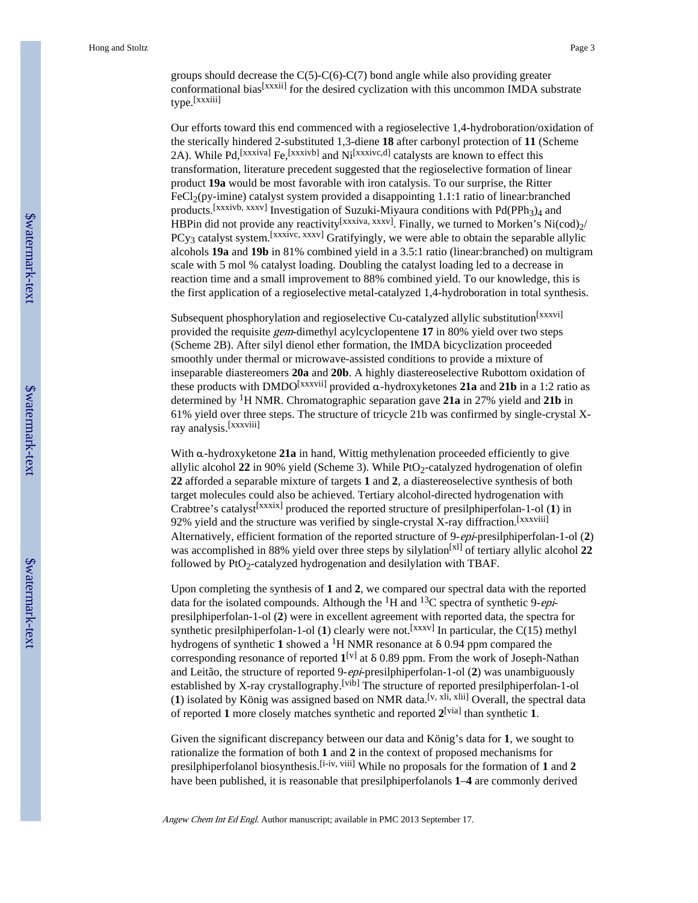groups should decrease the C(5)-C(6)-C(7) bond angle while also providing greater conformational bias<sup>[xxxii]</sup> for the desired cyclization with this uncommon IMDA substrate type.[xxxiii]

Our efforts toward this end commenced with a regioselective 1,4-hydroboration/oxidation of the sterically hindered 2-substituted 1,3-diene **18** after carbonyl protection of **11** (Scheme 2A). While Pd, [xxxiva] Fe, [xxxivb] and Ni<sup>[xxxivc,d]</sup> catalysts are known to effect this transformation, literature precedent suggested that the regioselective formation of linear product **19a** would be most favorable with iron catalysis. To our surprise, the Ritter  $FeCl<sub>2</sub>(py-imine)$  catalyst system provided a disappointing 1.1:1 ratio of linear: branched products.<sup>[xxxivb, xxxv]</sup> Investigation of Suzuki-Miyaura conditions with  $Pd(PPh<sub>3</sub>)<sub>4</sub>$  and HBPin did not provide any reactivity<sup>[xxxiva, xxxv]</sup>. Finally, we turned to Morken's Ni(cod) $\gamma$ /  $PCy_3$  catalyst system.<sup>[xxxivc, xxxv]</sup> Gratifyingly, we were able to obtain the separable allylic alcohols **19a** and **19b** in 81% combined yield in a 3.5:1 ratio (linear:branched) on multigram scale with 5 mol % catalyst loading. Doubling the catalyst loading led to a decrease in reaction time and a small improvement to 88% combined yield. To our knowledge, this is the first application of a regioselective metal-catalyzed 1,4-hydroboration in total synthesis.

Subsequent phosphorylation and regioselective Cu-catalyzed allylic substitution<sup>[xxxvi]</sup> provided the requisite gem-dimethyl acylcyclopentene **17** in 80% yield over two steps (Scheme 2B). After silyl dienol ether formation, the IMDA bicyclization proceeded smoothly under thermal or microwave-assisted conditions to provide a mixture of inseparable diastereomers **20a** and **20b**. A highly diastereoselective Rubottom oxidation of these products with DMDO[xxxvii] provided α-hydroxyketones **21a** and **21b** in a 1:2 ratio as determined by 1H NMR. Chromatographic separation gave **21a** in 27% yield and **21b** in 61% yield over three steps. The structure of tricycle 21b was confirmed by single-crystal Xray analysis.[xxxviii]

With α-hydroxyketone **21a** in hand, Wittig methylenation proceeded efficiently to give allylic alcohol  $22$  in 90% yield (Scheme 3). While  $P_2$ -catalyzed hydrogenation of olefin **22** afforded a separable mixture of targets **1** and **2**, a diastereoselective synthesis of both target molecules could also be achieved. Tertiary alcohol-directed hydrogenation with Crabtree's catalyst[xxxix] produced the reported structure of presilphiperfolan-1-ol (**1**) in 92% yield and the structure was verified by single-crystal X-ray diffraction.<sup>[xxxviii]</sup> Alternatively, efficient formation of the reported structure of 9-epi-presilphiperfolan-1-ol (**2**) was accomplished in 88% yield over three steps by silylation<sup>[xl]</sup> of tertiary allylic alcohol 22 followed by  $PtO<sub>2</sub>$ -catalyzed hydrogenation and desilylation with TBAF.

Upon completing the synthesis of **1** and **2**, we compared our spectral data with the reported data for the isolated compounds. Although the  ${}^{1}H$  and  ${}^{13}C$  spectra of synthetic 9-*epi*presilphiperfolan-1-ol (**2**) were in excellent agreement with reported data, the spectra for synthetic presilphiperfolan-1-ol  $(1)$  clearly were not.<sup>[xxxv]</sup> In particular, the  $C(15)$  methyl hydrogens of synthetic 1 showed a <sup>1</sup>H NMR resonance at  $\delta$  0.94 ppm compared the corresponding resonance of reported **1** [v] at δ 0.89 ppm. From the work of Joseph-Nathan and Leitão, the structure of reported 9-epi-presilphiperfolan-1-ol (**2**) was unambiguously established by X-ray crystallography.<sup>[vib]</sup> The structure of reported presilphiperfolan-1-ol (**1**) isolated by König was assigned based on NMR data.[v, xli, xlii] Overall, the spectral data of reported **1** more closely matches synthetic and reported **2** [via] than synthetic **1**.

Given the significant discrepancy between our data and König's data for **1**, we sought to rationalize the formation of both **1** and **2** in the context of proposed mechanisms for presilphiperfolanol biosynthesis.[i-iv, viii] While no proposals for the formation of **1** and **2** have been published, it is reasonable that presilphiperfolanols **1**–**4** are commonly derived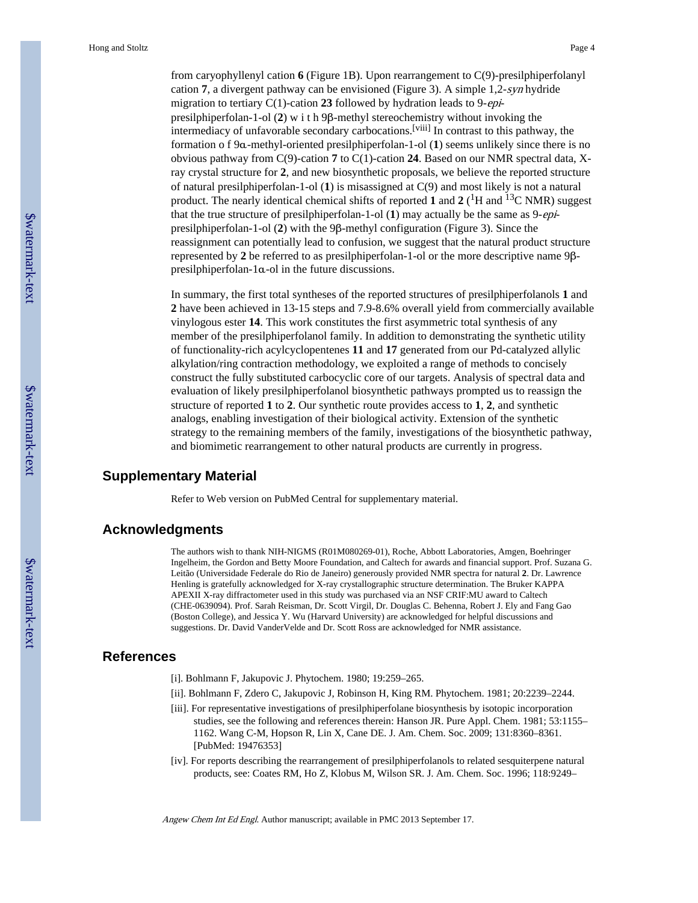from caryophyllenyl cation **6** (Figure 1B). Upon rearrangement to C(9)-presilphiperfolanyl cation **7**, a divergent pathway can be envisioned (Figure 3). A simple 1,2-syn hydride migration to tertiary C(1)-cation **23** followed by hydration leads to 9-epipresilphiperfolan-1-ol (**2**) w i t h 9β-methyl stereochemistry without invoking the intermediacy of unfavorable secondary carbocations.[viii] In contrast to this pathway, the formation o f 9α-methyl-oriented presilphiperfolan-1-ol (**1**) seems unlikely since there is no obvious pathway from C(9)-cation **7** to C(1)-cation **24**. Based on our NMR spectral data, Xray crystal structure for **2**, and new biosynthetic proposals, we believe the reported structure of natural presilphiperfolan-1-ol (**1**) is misassigned at C(9) and most likely is not a natural product. The nearly identical chemical shifts of reported 1 and 2 (<sup>1</sup>H and <sup>13</sup>C NMR) suggest that the true structure of presilphiperfolan-1-ol (**1**) may actually be the same as 9-epipresilphiperfolan-1-ol (**2**) with the 9β-methyl configuration (Figure 3). Since the reassignment can potentially lead to confusion, we suggest that the natural product structure represented by **2** be referred to as presilphiperfolan-1-ol or the more descriptive name 9βpresilphiperfolan-1α-ol in the future discussions.

In summary, the first total syntheses of the reported structures of presilphiperfolanols **1** and **2** have been achieved in 13-15 steps and 7.9-8.6% overall yield from commercially available vinylogous ester **14**. This work constitutes the first asymmetric total synthesis of any member of the presilphiperfolanol family. In addition to demonstrating the synthetic utility of functionality-rich acylcyclopentenes **11** and **17** generated from our Pd-catalyzed allylic alkylation/ring contraction methodology, we exploited a range of methods to concisely construct the fully substituted carbocyclic core of our targets. Analysis of spectral data and evaluation of likely presilphiperfolanol biosynthetic pathways prompted us to reassign the structure of reported **1** to **2**. Our synthetic route provides access to **1**, **2**, and synthetic analogs, enabling investigation of their biological activity. Extension of the synthetic strategy to the remaining members of the family, investigations of the biosynthetic pathway, and biomimetic rearrangement to other natural products are currently in progress.

# **Supplementary Material**

Refer to Web version on PubMed Central for supplementary material.

#### **Acknowledgments**

The authors wish to thank NIH-NIGMS (R01M080269-01), Roche, Abbott Laboratories, Amgen, Boehringer Ingelheim, the Gordon and Betty Moore Foundation, and Caltech for awards and financial support. Prof. Suzana G. Leitão (Universidade Federale do Rio de Janeiro) generously provided NMR spectra for natural **2**. Dr. Lawrence Henling is gratefully acknowledged for X-ray crystallographic structure determination. The Bruker KAPPA APEXII X-ray diffractometer used in this study was purchased via an NSF CRIF:MU award to Caltech (CHE-0639094). Prof. Sarah Reisman, Dr. Scott Virgil, Dr. Douglas C. Behenna, Robert J. Ely and Fang Gao (Boston College), and Jessica Y. Wu (Harvard University) are acknowledged for helpful discussions and suggestions. Dr. David VanderVelde and Dr. Scott Ross are acknowledged for NMR assistance.

# **References**

- [i]. Bohlmann F, Jakupovic J. Phytochem. 1980; 19:259–265.
- [ii]. Bohlmann F, Zdero C, Jakupovic J, Robinson H, King RM. Phytochem. 1981; 20:2239–2244.
- [iii]. For representative investigations of presilphiperfolane biosynthesis by isotopic incorporation studies, see the following and references therein: Hanson JR. Pure Appl. Chem. 1981; 53:1155– 1162. Wang C-M, Hopson R, Lin X, Cane DE. J. Am. Chem. Soc. 2009; 131:8360–8361. [PubMed: 19476353]
- [iv]. For reports describing the rearrangement of presilphiperfolanols to related sesquiterpene natural products, see: Coates RM, Ho Z, Klobus M, Wilson SR. J. Am. Chem. Soc. 1996; 118:9249–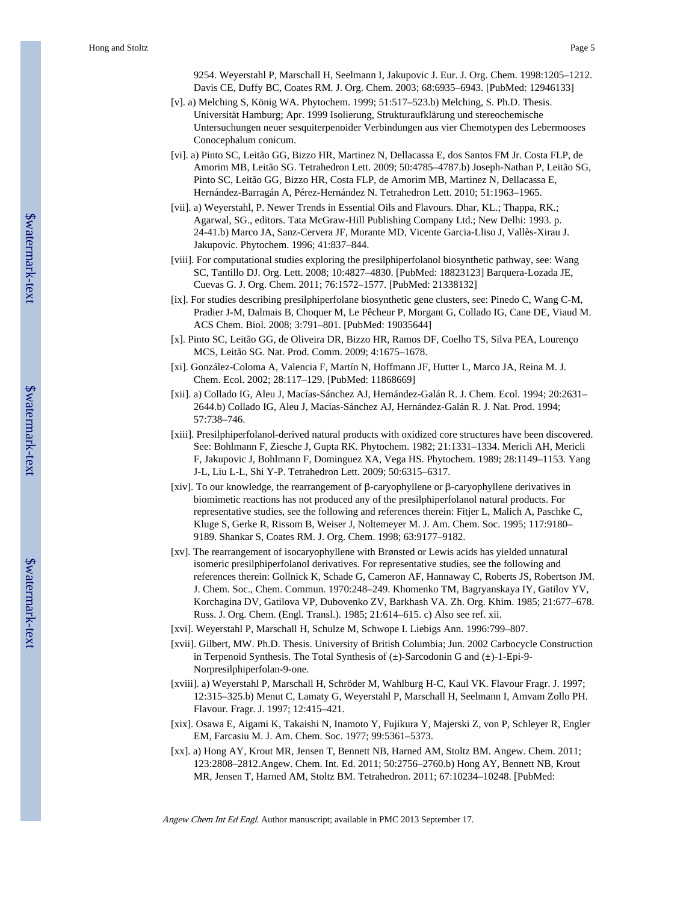9254. Weyerstahl P, Marschall H, Seelmann I, Jakupovic J. Eur. J. Org. Chem. 1998:1205–1212. Davis CE, Duffy BC, Coates RM. J. Org. Chem. 2003; 68:6935–6943. [PubMed: 12946133]

- [v]. a) Melching S, König WA. Phytochem. 1999; 51:517–523.b) Melching, S. Ph.D. Thesis. Universität Hamburg; Apr. 1999 Isolierung, Strukturaufklärung und stereochemische Untersuchungen neuer sesquiterpenoider Verbindungen aus vier Chemotypen des Lebermooses Conocephalum conicum.
- [vi]. a) Pinto SC, Leitão GG, Bizzo HR, Martinez N, Dellacassa E, dos Santos FM Jr. Costa FLP, de Amorim MB, Leitão SG. Tetrahedron Lett. 2009; 50:4785–4787.b) Joseph-Nathan P, Leitão SG, Pinto SC, Leitão GG, Bizzo HR, Costa FLP, de Amorim MB, Martinez N, Dellacassa E, Hernández-Barragán A, Pérez-Hernández N. Tetrahedron Lett. 2010; 51:1963–1965.
- [vii]. a) Weyerstahl, P. Newer Trends in Essential Oils and Flavours. Dhar, KL.; Thappa, RK.; Agarwal, SG., editors. Tata McGraw-Hill Publishing Company Ltd.; New Delhi: 1993. p. 24-41.b) Marco JA, Sanz-Cervera JF, Morante MD, Vicente Garcia-Lliso J, Vallès-Xirau J. Jakupovic. Phytochem. 1996; 41:837–844.
- [viii]. For computational studies exploring the presilphiperfolanol biosynthetic pathway, see: Wang SC, Tantillo DJ. Org. Lett. 2008; 10:4827–4830. [PubMed: 18823123] Barquera-Lozada JE, Cuevas G. J. Org. Chem. 2011; 76:1572–1577. [PubMed: 21338132]
- [ix]. For studies describing presilphiperfolane biosynthetic gene clusters, see: Pinedo C, Wang C-M, Pradier J-M, Dalmais B, Choquer M, Le Pêcheur P, Morgant G, Collado IG, Cane DE, Viaud M. ACS Chem. Biol. 2008; 3:791–801. [PubMed: 19035644]
- [x]. Pinto SC, Leitão GG, de Oliveira DR, Bizzo HR, Ramos DF, Coelho TS, Silva PEA, Lourenço MCS, Leitão SG. Nat. Prod. Comm. 2009; 4:1675–1678.
- [xi]. González-Coloma A, Valencia F, Martín N, Hoffmann JF, Hutter L, Marco JA, Reina M. J. Chem. Ecol. 2002; 28:117–129. [PubMed: 11868669]
- [xii]. a) Collado IG, Aleu J, Macías-Sánchez AJ, Hernández-Galán R. J. Chem. Ecol. 1994; 20:2631– 2644.b) Collado IG, Aleu J, Macías-Sánchez AJ, Hernández-Galán R. J. Nat. Prod. 1994; 57:738–746.
- [xiii]. Presilphiperfolanol-derived natural products with oxidized core structures have been discovered. See: Bohlmann F, Ziesche J, Gupta RK. Phytochem. 1982; 21:1331–1334. Mericli AH, Mericli F, Jakupovic J, Bohlmann F, Dominguez XA, Vega HS. Phytochem. 1989; 28:1149–1153. Yang J-L, Liu L-L, Shi Y-P. Tetrahedron Lett. 2009; 50:6315–6317.
- [xiv]. To our knowledge, the rearrangement of β-caryophyllene or β-caryophyllene derivatives in biomimetic reactions has not produced any of the presilphiperfolanol natural products. For representative studies, see the following and references therein: Fitjer L, Malich A, Paschke C, Kluge S, Gerke R, Rissom B, Weiser J, Noltemeyer M. J. Am. Chem. Soc. 1995; 117:9180– 9189. Shankar S, Coates RM. J. Org. Chem. 1998; 63:9177–9182.
- [xv]. The rearrangement of isocaryophyllene with Brønsted or Lewis acids has yielded unnatural isomeric presilphiperfolanol derivatives. For representative studies, see the following and references therein: Gollnick K, Schade G, Cameron AF, Hannaway C, Roberts JS, Robertson JM. J. Chem. Soc., Chem. Commun. 1970:248–249. Khomenko TM, Bagryanskaya IY, Gatilov YV, Korchagina DV, Gatilova VP, Dubovenko ZV, Barkhash VA. Zh. Org. Khim. 1985; 21:677–678. Russ. J. Org. Chem. (Engl. Transl.). 1985; 21:614–615. c) Also see ref. xii.
- [xvi]. Weyerstahl P, Marschall H, Schulze M, Schwope I. Liebigs Ann. 1996:799–807.
- [xvii]. Gilbert, MW. Ph.D. Thesis. University of British Columbia; Jun. 2002 Carbocycle Construction in Terpenoid Synthesis. The Total Synthesis of (±)-Sarcodonin G and (±)-1-Epi-9- Norpresilphiperfolan-9-one.
- [xviii]. a) Weyerstahl P, Marschall H, Schröder M, Wahlburg H-C, Kaul VK. Flavour Fragr. J. 1997; 12:315–325.b) Menut C, Lamaty G, Weyerstahl P, Marschall H, Seelmann I, Amvam Zollo PH. Flavour. Fragr. J. 1997; 12:415–421.
- [xix]. Osawa E, Aigami K, Takaishi N, Inamoto Y, Fujikura Y, Majerski Z, von P, Schleyer R, Engler EM, Farcasiu M. J. Am. Chem. Soc. 1977; 99:5361–5373.
- [xx]. a) Hong AY, Krout MR, Jensen T, Bennett NB, Harned AM, Stoltz BM. Angew. Chem. 2011; 123:2808–2812.Angew. Chem. Int. Ed. 2011; 50:2756–2760.b) Hong AY, Bennett NB, Krout MR, Jensen T, Harned AM, Stoltz BM. Tetrahedron. 2011; 67:10234–10248. [PubMed: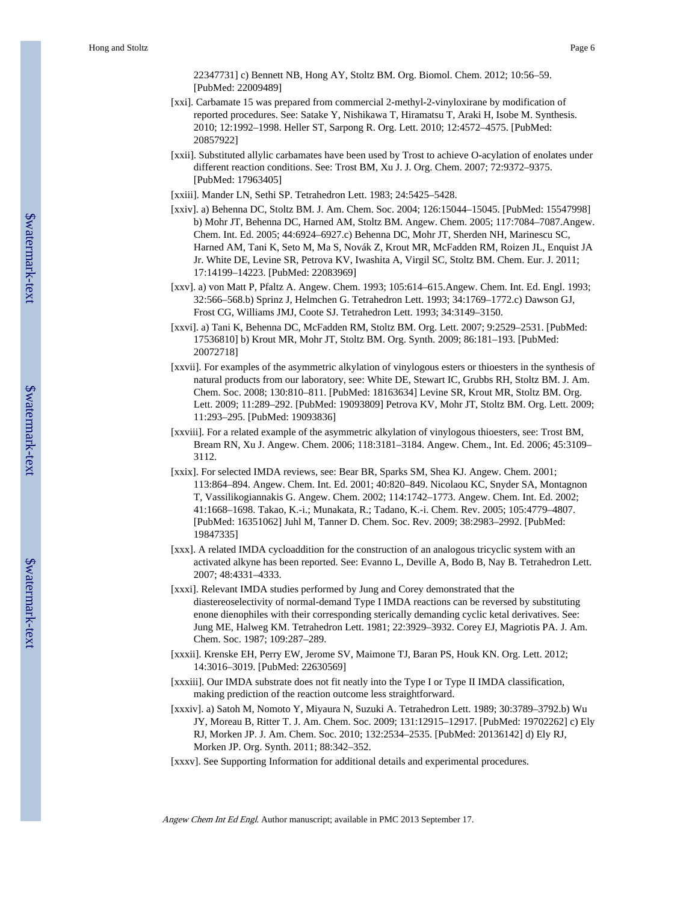- [xxi]. Carbamate 15 was prepared from commercial 2-methyl-2-vinyloxirane by modification of reported procedures. See: Satake Y, Nishikawa T, Hiramatsu T, Araki H, Isobe M. Synthesis. 2010; 12:1992–1998. Heller ST, Sarpong R. Org. Lett. 2010; 12:4572–4575. [PubMed: 20857922]
- [xxii]. Substituted allylic carbamates have been used by Trost to achieve O-acylation of enolates under different reaction conditions. See: Trost BM, Xu J. J. Org. Chem. 2007; 72:9372–9375. [PubMed: 17963405]
- [xxiii]. Mander LN, Sethi SP. Tetrahedron Lett. 1983; 24:5425–5428.
- [xxiv]. a) Behenna DC, Stoltz BM. J. Am. Chem. Soc. 2004; 126:15044–15045. [PubMed: 15547998] b) Mohr JT, Behenna DC, Harned AM, Stoltz BM. Angew. Chem. 2005; 117:7084–7087.Angew. Chem. Int. Ed. 2005; 44:6924–6927.c) Behenna DC, Mohr JT, Sherden NH, Marinescu SC, Harned AM, Tani K, Seto M, Ma S, Novák Z, Krout MR, McFadden RM, Roizen JL, Enquist JA Jr. White DE, Levine SR, Petrova KV, Iwashita A, Virgil SC, Stoltz BM. Chem. Eur. J. 2011; 17:14199–14223. [PubMed: 22083969]
- [xxv]. a) von Matt P, Pfaltz A. Angew. Chem. 1993; 105:614–615.Angew. Chem. Int. Ed. Engl. 1993; 32:566–568.b) Sprinz J, Helmchen G. Tetrahedron Lett. 1993; 34:1769–1772.c) Dawson GJ, Frost CG, Williams JMJ, Coote SJ. Tetrahedron Lett. 1993; 34:3149–3150.
- [xxvi]. a) Tani K, Behenna DC, McFadden RM, Stoltz BM. Org. Lett. 2007; 9:2529–2531. [PubMed: 17536810] b) Krout MR, Mohr JT, Stoltz BM. Org. Synth. 2009; 86:181–193. [PubMed: 20072718]
- [xxvii]. For examples of the asymmetric alkylation of vinylogous esters or thioesters in the synthesis of natural products from our laboratory, see: White DE, Stewart IC, Grubbs RH, Stoltz BM. J. Am. Chem. Soc. 2008; 130:810–811. [PubMed: 18163634] Levine SR, Krout MR, Stoltz BM. Org. Lett. 2009; 11:289–292. [PubMed: 19093809] Petrova KV, Mohr JT, Stoltz BM. Org. Lett. 2009; 11:293–295. [PubMed: 19093836]
- [xxviii]. For a related example of the asymmetric alkylation of vinylogous thioesters, see: Trost BM, Bream RN, Xu J. Angew. Chem. 2006; 118:3181–3184. Angew. Chem., Int. Ed. 2006; 45:3109– 3112.
- [xxix]. For selected IMDA reviews, see: Bear BR, Sparks SM, Shea KJ. Angew. Chem. 2001; 113:864–894. Angew. Chem. Int. Ed. 2001; 40:820–849. Nicolaou KC, Snyder SA, Montagnon T, Vassilikogiannakis G. Angew. Chem. 2002; 114:1742–1773. Angew. Chem. Int. Ed. 2002; 41:1668–1698. Takao, K.-i.; Munakata, R.; Tadano, K.-i. Chem. Rev. 2005; 105:4779–4807. [PubMed: 16351062] Juhl M, Tanner D. Chem. Soc. Rev. 2009; 38:2983–2992. [PubMed: 19847335]
- [xxx]. A related IMDA cycloaddition for the construction of an analogous tricyclic system with an activated alkyne has been reported. See: Evanno L, Deville A, Bodo B, Nay B. Tetrahedron Lett. 2007; 48:4331–4333.
- [xxxi]. Relevant IMDA studies performed by Jung and Corey demonstrated that the diastereoselectivity of normal-demand Type I IMDA reactions can be reversed by substituting enone dienophiles with their corresponding sterically demanding cyclic ketal derivatives. See: Jung ME, Halweg KM. Tetrahedron Lett. 1981; 22:3929–3932. Corey EJ, Magriotis PA. J. Am. Chem. Soc. 1987; 109:287–289.
- [xxxii]. Krenske EH, Perry EW, Jerome SV, Maimone TJ, Baran PS, Houk KN. Org. Lett. 2012; 14:3016–3019. [PubMed: 22630569]
- [xxxiii]. Our IMDA substrate does not fit neatly into the Type I or Type II IMDA classification, making prediction of the reaction outcome less straightforward.
- [xxxiv]. a) Satoh M, Nomoto Y, Miyaura N, Suzuki A. Tetrahedron Lett. 1989; 30:3789–3792.b) Wu JY, Moreau B, Ritter T. J. Am. Chem. Soc. 2009; 131:12915–12917. [PubMed: 19702262] c) Ely RJ, Morken JP. J. Am. Chem. Soc. 2010; 132:2534–2535. [PubMed: 20136142] d) Ely RJ, Morken JP. Org. Synth. 2011; 88:342–352.
- [xxxv]. See Supporting Information for additional details and experimental procedures.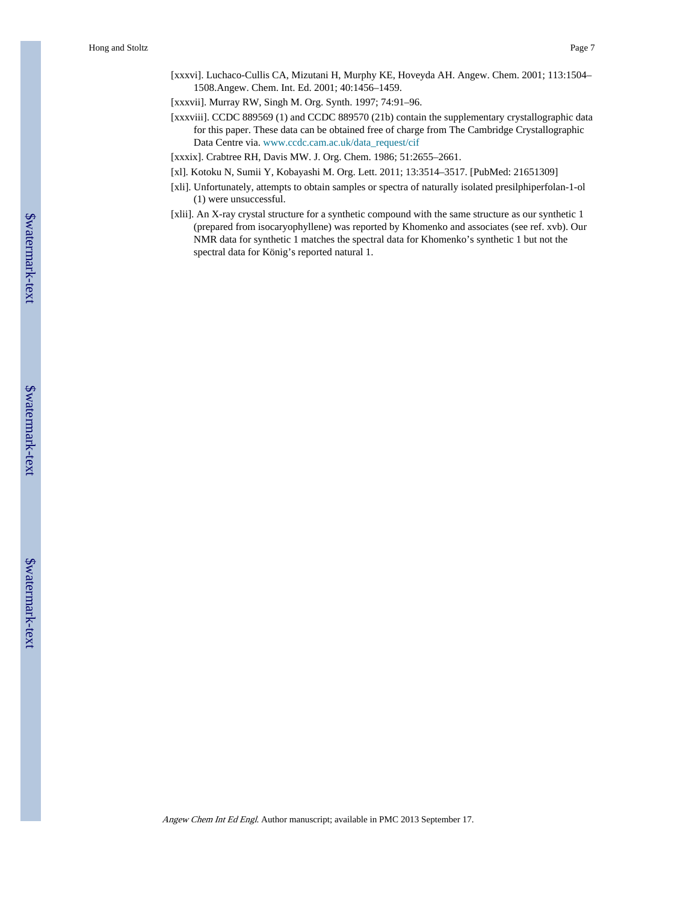[xxxvi]. Luchaco-Cullis CA, Mizutani H, Murphy KE, Hoveyda AH. Angew. Chem. 2001; 113:1504– 1508.Angew. Chem. Int. Ed. 2001; 40:1456–1459.

[xxxvii]. Murray RW, Singh M. Org. Synth. 1997; 74:91–96.

- [xxxviii]. CCDC 889569 (1) and CCDC 889570 (21b) contain the supplementary crystallographic data for this paper. These data can be obtained free of charge from The Cambridge Crystallographic Data Centre via. [www.ccdc.cam.ac.uk/data\\_request/cif](http://www.ccdc.cam.ac.uk/data_request/cif)
- [xxxix]. Crabtree RH, Davis MW. J. Org. Chem. 1986; 51:2655–2661.
- [xl]. Kotoku N, Sumii Y, Kobayashi M. Org. Lett. 2011; 13:3514–3517. [PubMed: 21651309]
- [xli]. Unfortunately, attempts to obtain samples or spectra of naturally isolated presilphiperfolan-1-ol (1) were unsuccessful.
- [xlii]. An X-ray crystal structure for a synthetic compound with the same structure as our synthetic 1 (prepared from isocaryophyllene) was reported by Khomenko and associates (see ref. xvb). Our NMR data for synthetic 1 matches the spectral data for Khomenko's synthetic 1 but not the spectral data for König's reported natural 1.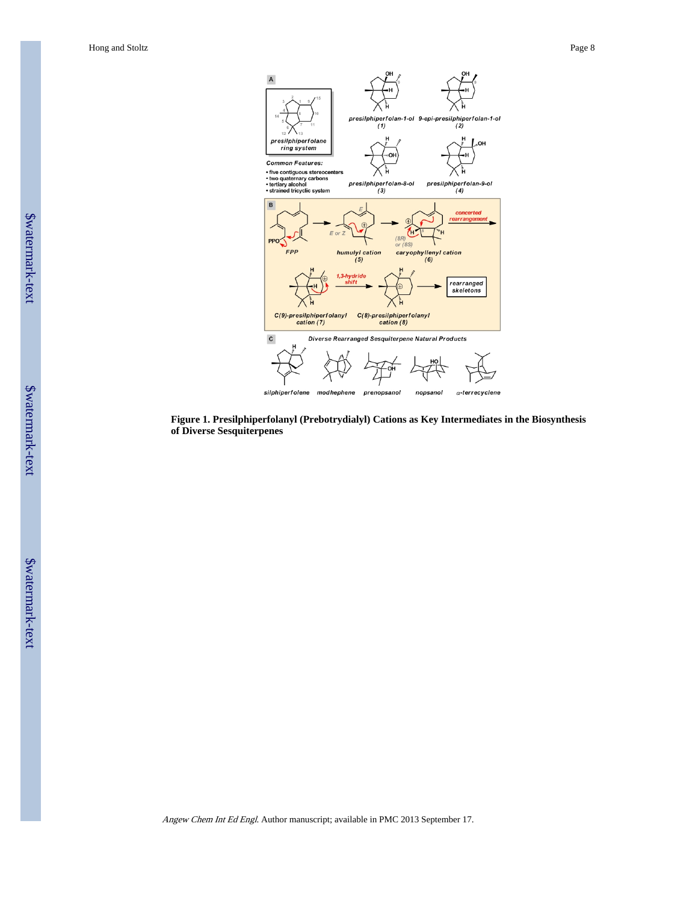

**Figure 1. Presilphiperfolanyl (Prebotrydialyl) Cations as Key Intermediates in the Biosynthesis of Diverse Sesquiterpenes**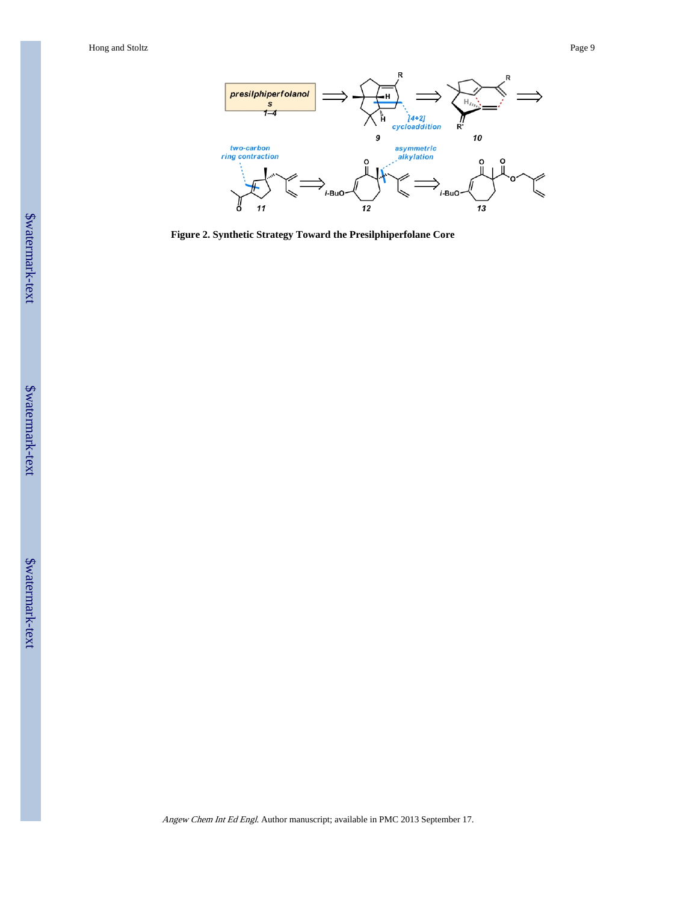

**Figure 2. Synthetic Strategy Toward the Presilphiperfolane Core**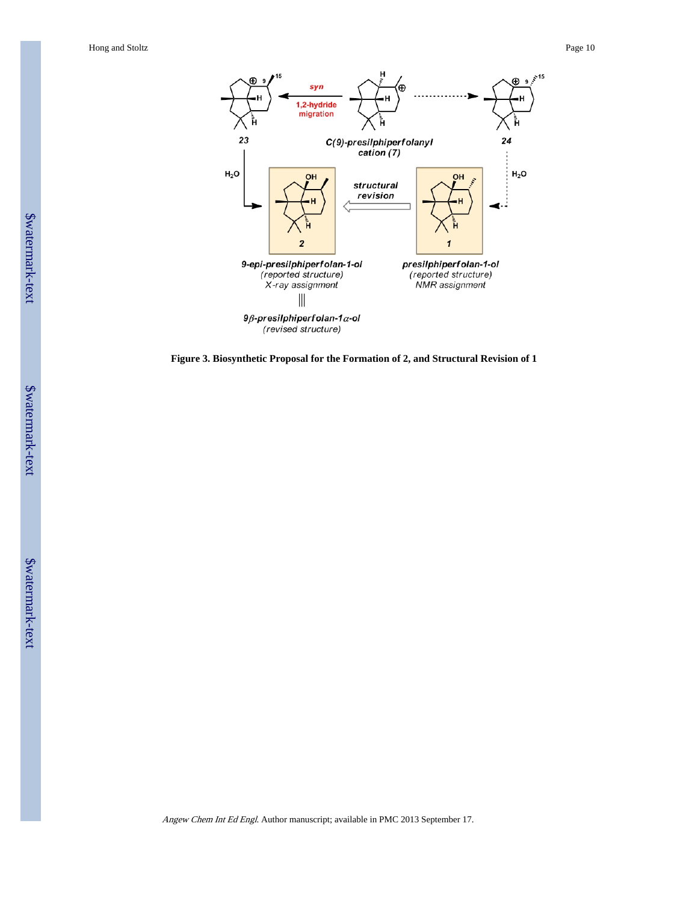

**Figure 3. Biosynthetic Proposal for the Formation of 2, and Structural Revision of 1**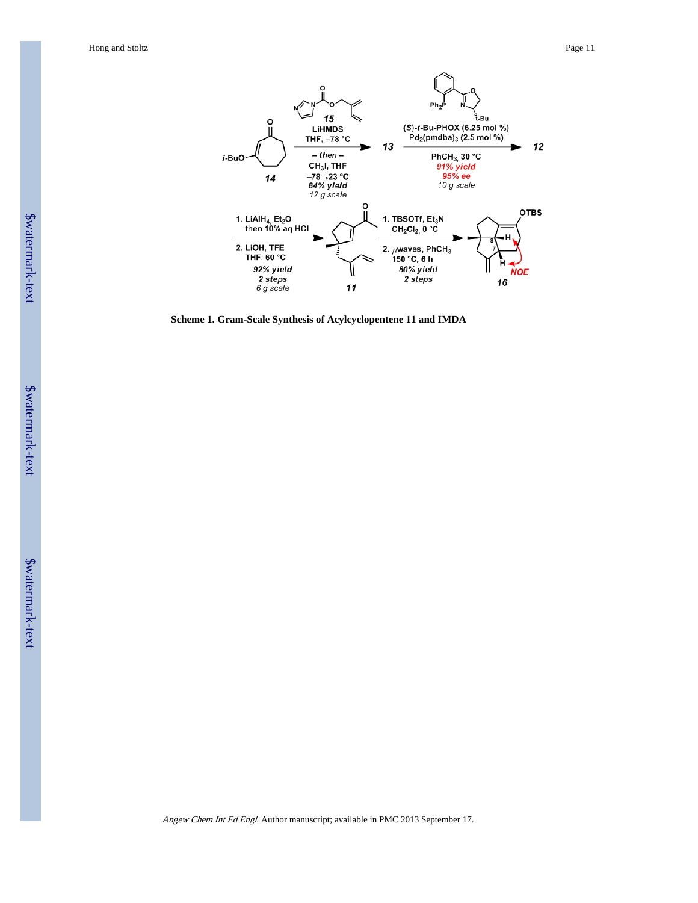

**Scheme 1. Gram-Scale Synthesis of Acylcyclopentene 11 and IMDA**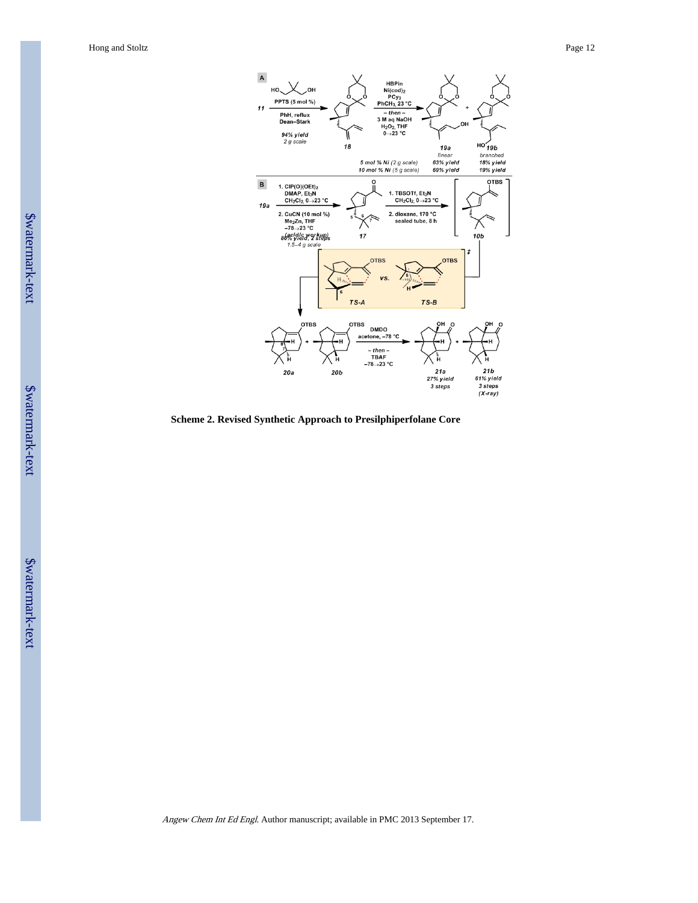

**Scheme 2. Revised Synthetic Approach to Presilphiperfolane Core**